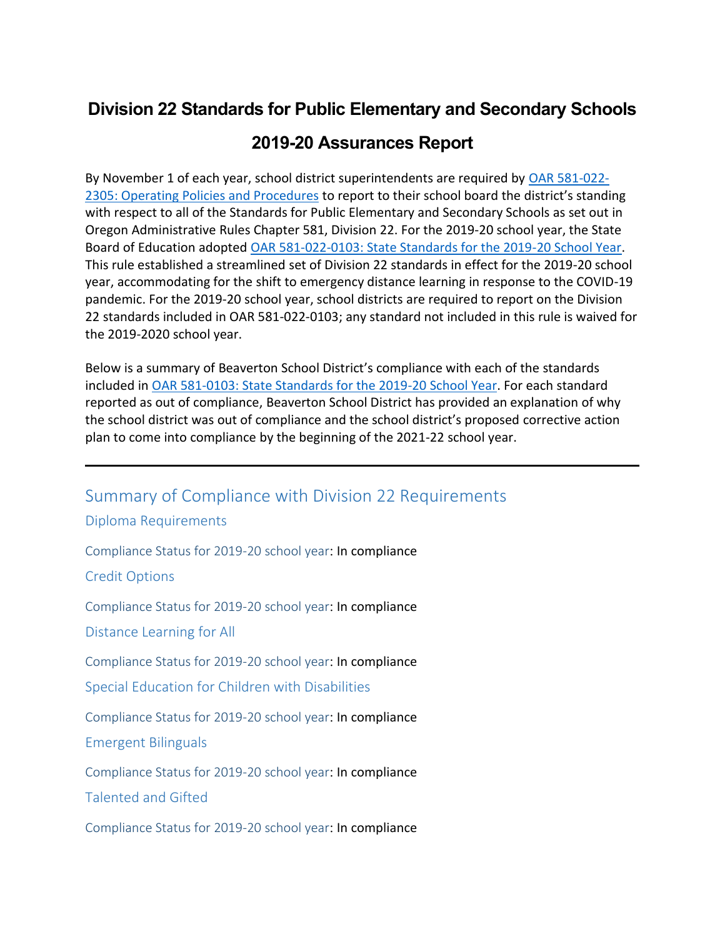## **Division 22 Standards for Public Elementary and Secondary Schools**

## **2019-20 Assurances Report**

By November 1 of each year, school district superintendents are required by [OAR 581-022-](https://secure.sos.state.or.us/oard/viewSingleRule.action?ruleVrsnRsn=237662) 2305: [Operating Policies and Procedures](https://secure.sos.state.or.us/oard/viewSingleRule.action?ruleVrsnRsn=237662) to report to their school board the district's standing with respect to all of the Standards for Public Elementary and Secondary Schools as set out in Oregon Administrative Rules Chapter 581, Division 22. For the 2019-20 school year, the State Board of Education adopted [OAR 581-022-0103: State Standards for the 2019-20 School Year.](https://secure.sos.state.or.us/oard/viewSingleRule.action;JSESSIONID_OARD=zDWSDkRDgLmdLXzE89LuPSDnsLMU0u67xd578zTv7bC9A8G6fUzD!-1442988785?ruleVrsnRsn=271202) This rule established a streamlined set of Division 22 standards in effect for the 2019-20 school year, accommodating for the shift to emergency distance learning in response to the COVID-19 pandemic. For the 2019-20 school year, school districts are required to report on the Division 22 standards included in OAR 581-022-0103; any standard not included in this rule is waived for the 2019-2020 school year.

Below is a summary of Beaverton School District's compliance with each of the standards included in [OAR 581-0103: State Standards for the 2019-20 School Year.](https://secure.sos.state.or.us/oard/viewSingleRule.action;JSESSIONID_OARD=zDWSDkRDgLmdLXzE89LuPSDnsLMU0u67xd578zTv7bC9A8G6fUzD!-1442988785?ruleVrsnRsn=271202) For each standard reported as out of compliance, Beaverton School District has provided an explanation of why the school district was out of compliance and the school district's proposed corrective action plan to come into compliance by the beginning of the 2021-22 school year.

Summary of Compliance with Division 22 Requirements

Diploma Requirements

Compliance Status for 2019-20 school year: In compliance

Credit Options

Compliance Status for 2019-20 school year: In compliance

Distance Learning for All

Compliance Status for 2019-20 school year: In compliance

Special Education for Children with Disabilities

Compliance Status for 2019-20 school year: In compliance

Emergent Bilinguals

Compliance Status for 2019-20 school year: In compliance

Talented and Gifted

Compliance Status for 2019-20 school year: In compliance